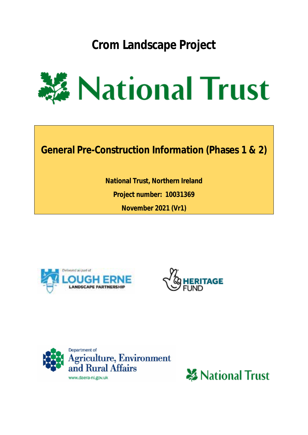**Crom Landscape Project**



**General Pre-Construction Information (Phases 1 & 2)**

**National Trust, Northern Ireland Project number: 10031369 November 2021 (Vr1)**







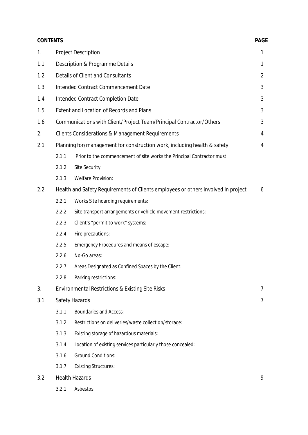| <b>CONTENTS</b> |                       |                                                                                   | <b>PAGE</b>    |  |  |  |
|-----------------|-----------------------|-----------------------------------------------------------------------------------|----------------|--|--|--|
| 1.              |                       | <b>Project Description</b>                                                        | 1              |  |  |  |
| 1.1             |                       | Description & Programme Details                                                   | 1              |  |  |  |
| 1.2             |                       | Details of Client and Consultants                                                 | $\overline{2}$ |  |  |  |
| 1.3             |                       | Intended Contract Commencement Date                                               | 3              |  |  |  |
| 1.4             |                       | Intended Contract Completion Date                                                 | 3              |  |  |  |
| 1.5             |                       | <b>Extent and Location of Records and Plans</b>                                   | 3              |  |  |  |
| 1.6             |                       | Communications with Client/Project Team/Principal Contractor/Others               | 3              |  |  |  |
| 2.              |                       | <b>Clients Considerations &amp; Management Requirements</b>                       | 4              |  |  |  |
| 2.1             |                       | Planning for/management for construction work, including health & safety          | 4              |  |  |  |
|                 | 2.1.1                 | Prior to the commencement of site works the Principal Contractor must:            |                |  |  |  |
|                 | 2.1.2                 | Site Security                                                                     |                |  |  |  |
|                 | 2.1.3                 | <b>Welfare Provision:</b>                                                         |                |  |  |  |
| 2.2             |                       | Health and Safety Requirements of Clients employees or others involved in project | 6              |  |  |  |
|                 | 2.2.1                 | Works Site hoarding requirements:                                                 |                |  |  |  |
|                 | 2.2.2                 | Site transport arrangements or vehicle movement restrictions:                     |                |  |  |  |
|                 | 2.2.3                 | Client's "permit to work" systems:                                                |                |  |  |  |
|                 | 2.2.4                 | Fire precautions:                                                                 |                |  |  |  |
|                 | 2.2.5                 | Emergency Procedures and means of escape:                                         |                |  |  |  |
|                 | 2.2.6                 | No-Go areas:                                                                      |                |  |  |  |
|                 | 2.2.7                 | Areas Designated as Confined Spaces by the Client:                                |                |  |  |  |
|                 | 2.2.8                 | Parking restrictions:                                                             |                |  |  |  |
| 3.              |                       | Environmental Restrictions & Existing Site Risks                                  | 7              |  |  |  |
| 3.1             |                       | Safety Hazards                                                                    | 7              |  |  |  |
|                 | 3.1.1                 | <b>Boundaries and Access:</b>                                                     |                |  |  |  |
|                 | 3.1.2                 | Restrictions on deliveries/waste collection/storage:                              |                |  |  |  |
|                 | 3.1.3                 | Existing storage of hazardous materials:                                          |                |  |  |  |
|                 | 3.1.4                 | Location of existing services particularly those concealed:                       |                |  |  |  |
|                 | 3.1.6                 | <b>Ground Conditions:</b>                                                         |                |  |  |  |
|                 | 3.1.7                 | <b>Existing Structures:</b>                                                       |                |  |  |  |
| 3.2             | <b>Health Hazards</b> |                                                                                   |                |  |  |  |

3.2.1 Asbestos: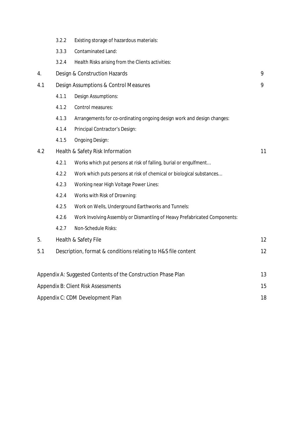|                                                                     | 3.2.2                                                                           | Existing storage of hazardous materials:                                  |    |  |  |  |  |  |
|---------------------------------------------------------------------|---------------------------------------------------------------------------------|---------------------------------------------------------------------------|----|--|--|--|--|--|
|                                                                     | 3.3.3                                                                           | Contaminated Land:                                                        |    |  |  |  |  |  |
|                                                                     | 3.2.4                                                                           | Health Risks arising from the Clients activities:                         |    |  |  |  |  |  |
| 4.                                                                  |                                                                                 | 9<br>Design & Construction Hazards                                        |    |  |  |  |  |  |
| 4.1                                                                 |                                                                                 | Design Assumptions & Control Measures                                     |    |  |  |  |  |  |
|                                                                     | 4.1.1                                                                           | Design Assumptions:                                                       |    |  |  |  |  |  |
|                                                                     | 4.1.2                                                                           | Control measures:                                                         |    |  |  |  |  |  |
|                                                                     | 4.1.3<br>Arrangements for co-ordinating ongoing design work and design changes: |                                                                           |    |  |  |  |  |  |
|                                                                     | 4.1.4                                                                           | Principal Contractor's Design:                                            |    |  |  |  |  |  |
|                                                                     | 4.1.5                                                                           | <b>Ongoing Design:</b>                                                    |    |  |  |  |  |  |
| 4.2                                                                 |                                                                                 | Health & Safety Risk Information                                          | 11 |  |  |  |  |  |
|                                                                     | 4.2.1                                                                           | Works which put persons at risk of falling, burial or engulfment          |    |  |  |  |  |  |
|                                                                     | 4.2.2                                                                           | Work which puts persons at risk of chemical or biological substances      |    |  |  |  |  |  |
|                                                                     | 4.2.3                                                                           | Working near High Voltage Power Lines:                                    |    |  |  |  |  |  |
|                                                                     | 4.2.4<br>Works with Risk of Drowning:                                           |                                                                           |    |  |  |  |  |  |
|                                                                     | 4.2.5                                                                           | Work on Wells, Underground Earthworks and Tunnels:                        |    |  |  |  |  |  |
|                                                                     | 4.2.6                                                                           | Work Involving Assembly or Dismantling of Heavy Prefabricated Components: |    |  |  |  |  |  |
|                                                                     | 4.2.7                                                                           | Non-Schedule Risks:                                                       |    |  |  |  |  |  |
| 5.                                                                  |                                                                                 | Health & Safety File                                                      | 12 |  |  |  |  |  |
| 5.1                                                                 |                                                                                 | Description, format & conditions relating to H&S file content             | 12 |  |  |  |  |  |
|                                                                     |                                                                                 |                                                                           |    |  |  |  |  |  |
| 13<br>Appendix A: Suggested Contents of the Construction Phase Plan |                                                                                 |                                                                           |    |  |  |  |  |  |
|                                                                     | 15<br>Appendix B: Client Risk Assessments                                       |                                                                           |    |  |  |  |  |  |
| Appendix C: CDM Development Plan<br>18                              |                                                                                 |                                                                           |    |  |  |  |  |  |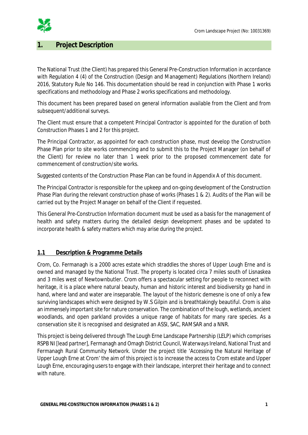

## **1. Project Description**

The National Trust (the Client) has prepared this General Pre-Construction Information in accordance with Regulation 4 (4) of the Construction (Design and Management) Regulations (Northern Ireland) 2016, Statutory Rule No 146. This documentation should be read in conjunction with Phase 1 works specifications and methodology and Phase 2 works specifications and methodology.

This document has been prepared based on general information available from the Client and from subsequent/additional surveys.

The Client must ensure that a competent Principal Contractor is appointed for the duration of both Construction Phases 1 and 2 for this project.

The Principal Contractor, as appointed for each construction phase, must develop the Construction Phase Plan prior to site works commencing and to submit this to the Project Manager (on behalf of the Client) for review no later than 1 week prior to the proposed commencement date for commencement of construction/site works.

Suggested contents of the Construction Phase Plan can be found in Appendix A of this document.

The Principal Contractor is responsible for the upkeep and on-going development of the Construction Phase Plan during the relevant construction phase of works (Phases 1 & 2). Audits of the Plan will be carried out by the Project Manager on behalf of the Client if requested.

This General Pre-Construction Information document must be used as a basis for the management of health and safety matters during the detailed design development phases and be updated to incorporate health & safety matters which may arise during the project.

### **1.1 Description & Programme Details**

Crom, Co. Fermanagh is a 2000 acres estate which straddles the shores of Upper Lough Erne and is owned and managed by the National Trust. The property is located circa 7 miles south of Lisnaskea and 3 miles west of Newtownbutler. Crom offers a spectacular setting for people to reconnect with heritage, it is a place where natural beauty, human and historic interest and biodiversity go hand in hand, where land and water are inseparable. The layout of the historic demesne is one of only a few surviving landscapes which were designed by W.S Gilpin and is breathtakingly beautiful. Crom is also an immensely important site for nature conservation. The combination of the lough, wetlands, ancient woodlands, and open parkland provides a unique range of habitats for many rare species. As a conservation site it is recognised and designated an ASSI, SAC, RAMSAR and a NNR.

This project is being delivered through The Lough Erne Landscape Partnership (LELP) which comprises RSPB NI [lead partner], Fermanagh and Omagh District Council, Waterways Ireland, National Trust and Fermanagh Rural Community Network. Under the project title 'Accessing the Natural Heritage of Upper Lough Erne at Crom' the aim of this project is to increase the access to Crom estate and Upper Lough Erne, encouraging users to engage with their landscape, interpret their heritage and to connect with nature.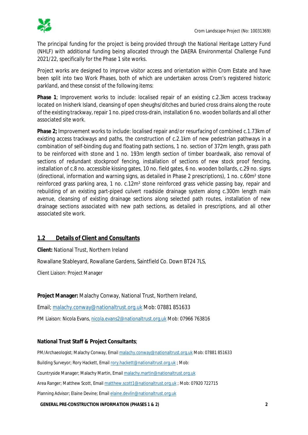

The principal funding for the project is being provided through the *National Heritage Lottery Fund* (NHLF) with additional funding being allocated through the *DAERA Environmental Challenge Fund 2021/22*, specifically for the Phase 1 site works.

Project works are designed to improve visitor access and orientation within Crom Estate and have been split into two Work Phases, both of which are undertaken across Crom's registered historic parkland, and these consist of the following items:

**Phase 1**; Improvement works to include: localised repair of an existing c.2.3km access trackway located on Inisherk Island, cleansing of open sheughs/ditches and buried cross drains along the route of the existing trackway, repair 1 no. piped cross-drain, installation 6 no. wooden bollards and all other associated site work.

**Phase 2;** Improvement works to include: localised repair and/or resurfacing of combined c.1.73km of existing access trackways and paths, the construction of c.2.1km of new pedestrian pathways in a combination of self-binding dug and floating path sections, 1 no. section of 372m length, grass path to be reinforced with stone and 1 no. 193m length section of timber boardwalk, also removal of sections of redundant stockproof fencing, installation of sections of new stock proof fencing, installation of c.8 no. accessible kissing gates, 10 no. field gates, 6 no. wooden bollards, c.29 no. signs (directional, information and warning signs, as detailed in Phase 2 prescriptions), 1 no. c.60m² stone reinforced grass parking area, 1 no. c.12m² stone reinforced grass vehicle passing bay, repair and rebuilding of an existing part-piped culvert roadside drainage system along c.300m length main avenue, cleansing of existing drainage sections along selected path routes, installation of new drainage sections associated with new path sections, as detailed in prescriptions, and all other associated site work.

### **1.2 Details of Client and Consultants**

**Client:** National Trust, Northern Ireland

Rowallane Stableyard, Rowallane Gardens, Saintfield Co. Down BT24 7LS,

Client Liaison: Project Manager

**Project Manager:** Malachy Conway, National Trust, Northern Ireland,

Email; malachy.conway@nationaltrust.org.uk Mob: 07881 851633

PM Liaison: Nicola Evans, nicola.evans2@nationaltrust.org.uk Mob: 07966 763816

#### **National Trust Staff & Project Consultants**;

PM/Archaeologist; Malachy Conway, Email malachy.conway@nationaltrust.org.uk Mob: 07881 851633

Building Surveyor; Rory Hackett, Email rory.hackett@nationaltrust.org.uk ; Mob:

Countryside Manager; Malachy Martin, Email malachy.martin@nationaltrust.org.uk

Area Ranger; Matthew Scott, Email matthew.scott1@nationaltrust.org.uk ; Mob: 07920 722715

Planning Advisor; Elaine Devine; Email elaine.devlin@nationaltrust.org.uk

**GENERAL PRE-CONSTRUCTION INFORMATION (PHASES 1 & 2) 2**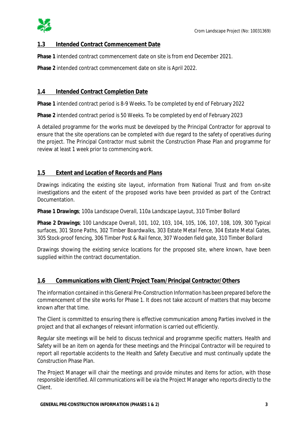

### **1.3 Intended Contract Commencement Date**

**Phase 1** intended contract commencement date on site is from end December 2021.

**Phase 2** intended contract commencement date on site is April 2022.

#### **1.4 Intended Contract Completion Date**

**Phase 1** intended contract period is 8-9 Weeks. To be completed by end of February 2022

**Phase 2** intended contract period is 50 Weeks. To be completed by end of February 2023

A detailed programme for the works must be developed by the Principal Contractor for approval to ensure that the site operations can be completed with due regard to the safety of operatives during the project. The Principal Contractor must submit the Construction Phase Plan and programme for review at least 1 week prior to commencing work.

#### **1.5 Extent and Location of Records and Plans**

Drawings indicating the existing site layout, information from National Trust and from on-site investigations and the extent of the proposed works have been provided as part of the Contract Documentation.

**Phase 1 Drawings**; *100a Landscape Overall, 110a Landscape Layout, 310 Timber Bollard*

**Phase 2 Drawings**; *100 Landscape Overall, 101, 102, 103, 104, 105, 106, 107, 108, 109, 300 Typical surfaces, 301 Stone Paths, 302 Timber Boardwalks, 303 Estate Metal Fence, 304 Estate Metal Gates, 305 Stock-proof fencing, 306 Timber Post & Rail fence, 307 Wooden field gate, 310 Timber Bollard*

Drawings showing the existing service locations for the proposed site, where known, have been supplied within the contract documentation.

### **1.6 Communications with Client/Project Team/Principal Contractor/Others**

The information contained in this General Pre-Construction Information has been prepared before the commencement of the site works for Phase 1. It does not take account of matters that may become known after that time.

The Client is committed to ensuring there is effective communication among Parties involved in the project and that all exchanges of relevant information is carried out efficiently.

Regular site meetings will be held to discuss technical and programme specific matters. Health and Safety will be an item on agenda for these meetings and the Principal Contractor will be required to report all reportable accidents to the Health and Safety Executive and must continually update the Construction Phase Plan.

The Project Manager will chair the meetings and provide minutes and items for action, with those responsible identified. All communications will be via the Project Manager who reports directly to the Client.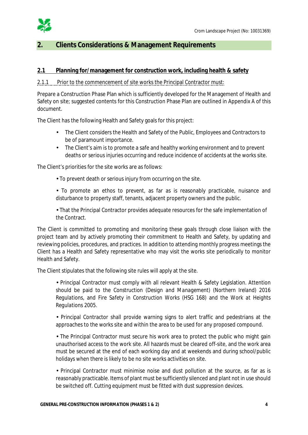

## **2. Clients Considerations & Management Requirements**

## **2.1 Planning for/management for construction work, including health & safety**

#### 2.1.1 Prior to the commencement of site works the Principal Contractor must:

Prepare a Construction Phase Plan which is sufficiently developed for the Management of Health and Safety on site; suggested contents for this Construction Phase Plan are outlined in Appendix A of this document.

The Client has the following Health and Safety goals for this project:

- The Client considers the Health and Safety of the Public, Employees and Contractors to be of paramount importance.
- The Client's aim is to promote a safe and healthy working environment and to prevent  $\mathcal{L}^{\text{max}}$ deaths or serious injuries occurring and reduce incidence of accidents at the works site.

The Client's priorities for the site works are as follows:

To prevent death or serious injury from occurring on the site.

To promote an ethos to prevent, as far as is reasonably practicable, nuisance and disturbance to property staff, tenants, adjacent property owners and the public.

That the Principal Contractor provides adequate resources for the safe implementation of the Contract.

The Client is committed to promoting and monitoring these goals through close liaison with the project team and by actively promoting their commitment to Health and Safety, by updating and reviewing policies, procedures, and practices. In addition to attending monthly progress meetings the Client has a Health and Safety representative who may visit the works site periodically to monitor Health and Safety.

The Client stipulates that the following site rules will apply at the site.

Principal Contractor must comply with all relevant Health & Safety Legislation. Attention should be paid to the *Construction (Design and Management) (Northern Ireland) 2016 Regulations*, and *Fire Safety in Construction Works* (HSG 168) and the *Work at Heights Regulations 2005*.

Principal Contractor shall provide warning signs to alert traffic and pedestrians at the approaches to the works site and within the area to be used for any proposed compound.

The Principal Contractor must secure his work area to protect the public who might gain unauthorised access to the work site. All hazards must be cleared off-site, and the work area must be secured at the end of each working day and at weekends and during school/public holidays when there is likely to be no site works activities on site.

Principal Contractor must minimise noise and dust pollution at the source, as far as is reasonably practicable. Items of plant must be sufficiently silenced and plant not in use should be switched off. Cutting equipment must be fitted with dust suppression devices.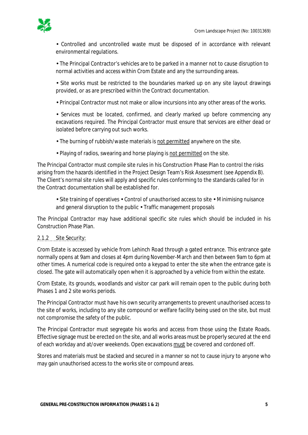

Controlled and uncontrolled waste must be disposed of in accordance with relevant environmental regulations.

The Principal Contractor's vehicles are to be parked in a manner not to cause disruption to normal activities and access within Crom Estate and any the surrounding areas.

Site works must be restricted to the boundaries marked up on any site layout drawings provided, or as are prescribed within the Contract documentation.

Principal Contractor must not make or allow incursions into any other areas of the works.

Services must be located, confirmed, and clearly marked up before commencing any excavations required. The Principal Contractor must ensure that services are either dead or isolated before carrying out such works.

The burning of rubbish/waste materials is not permitted anywhere on the site.

Playing of radios, swearing and horse playing is not permitted on the site.

The Principal Contractor must compile site rules in his Construction Phase Plan to control the risks arising from the hazards identified in the Project Design Team's Risk Assessment (see Appendix B). The Client's normal site rules will apply and specific rules conforming to the standards called for in the Contract documentation shall be established for.

 $\cdot$  Site training of operatives  $\cdot$  Control of unauthorised access to site  $\cdot$  Minimising nuisance and general disruption to the public  $\cdot$  Traffic management proposals

The Principal Contractor may have additional specific site rules which should be included in his Construction Phase Plan.

#### 2.1.2 Site Security:

Crom Estate is accessed by vehicle from Lehinch Road through a gated entrance. This entrance gate normally opens at 9am and closes at 4pm during November-March and then between 9am to 6pm at other times. A numerical code is required onto a keypad to enter the site when the entrance gate is closed. The gate will automatically open when it is approached by a vehicle from within the estate.

Crom Estate, its grounds, woodlands and visitor car park will remain open to the public during both Phases 1 and 2 site works periods.

The Principal Contractor must have his own security arrangements to prevent unauthorised access to the site of works, including to any site compound or welfare facility being used on the site, but must not compromise the safety of the public.

The Principal Contractor must segregate his works and access from those using the Estate Roads. Effective signage must be erected on the site, and all works areas must be properly secured at the end of each workday and at/over weekends. Open excavations must be covered and cordoned off.

Stores and materials must be stacked and secured in a manner so not to cause injury to anyone who may gain unauthorised access to the works site or compound areas.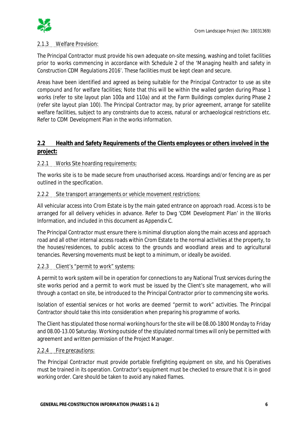## 2.1.3 Welfare Provision:

The Principal Contractor must provide his own adequate on-site messing, washing and toilet facilities prior to works commencing in accordance with Schedule 2 of the '*Managing health and safety in Construction CDM Regulations 2016*'. These facilities must be kept clean and secure.

Areas have been identified and agreed as being suitable for the Principal Contractor to use as site compound and for welfare facilities; Note that this will be within the walled garden during Phase 1 works (refer to site layout plan 100a and 110a) and at the Farm Buildings complex during Phase 2 (refer site layout plan 100). The Principal Contractor may, by prior agreement, arrange for satellite welfare facilities, subject to any constraints due to access, natural or archaeological restrictions etc. Refer to CDM Development Plan in the works information.

## **2.2 Health and Safety Requirements of the Clients employees or others involved in the project:**

### 2.2.1 Works Site hoarding requirements:

The works site is to be made secure from unauthorised access. Hoardings and/or fencing are as per outlined in the specification.

#### 2.2.2 Site transport arrangements or vehicle movement restrictions:

All vehicular access into Crom Estate is by the main gated entrance on approach road. Access is to be arranged for all delivery vehicles in advance. Refer to Dwg 'CDM Development Plan' in the Works Information, and included in this document as Appendix C.

The Principal Contractor must ensure there is minimal disruption along the main access and approach road and all other internal access roads within Crom Estate to the normal activities at the property, to the houses/residences, to public access to the grounds and woodland areas and to agricultural tenancies. Reversing movements must be kept to a minimum, or ideally be avoided.

#### 2.2.3 Client's "permit to work" systems:

A permit to work system will be in operation for connections to any National Trust services during the site works period and a permit to work must be issued by the Client's site management, who will through a contact on site, be introduced to the Principal Contractor prior to commencing site works.

Isolation of essential services or hot works are deemed "permit to work" activities. The Principal Contractor should take this into consideration when preparing his programme of works.

The Client has stipulated those normal working hours for the site will be 08.00-1800 Monday to Friday and 08.00-13.00 Saturday. Working outside of the stipulated normal times will only be permitted with agreement and written permission of the Project Manager.

#### 2.2.4 Fire precautions:

The Principal Contractor must provide portable firefighting equipment on site, and his Operatives must be trained in its operation. Contractor's equipment must be checked to ensure that it is in good working order. Care should be taken to avoid any naked flames.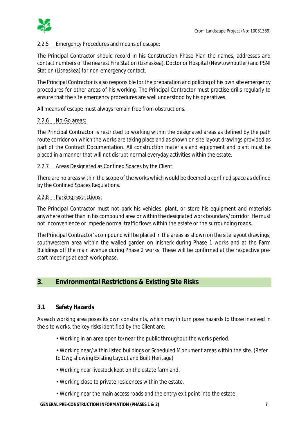

### 2.2.5 Emergency Procedures and means of escape:

The Principal Contractor should record in his Construction Phase Plan the names, addresses and contact numbers of the nearest Fire Station (Lisnaskea), Doctor or Hospital (Newtownbutler) and PSNI Station (Lisnaskea) for non-emergency contact.

The Principal Contractor is also responsible for the preparation and policing of his own site emergency procedures for other areas of his working. The Principal Contractor must practise drills regularly to ensure that the site emergency procedures are well understood by his operatives.

All means of escape must always remain free from obstructions.

#### 2.2.6 No-Go areas:

The Principal Contractor is restricted to working within the designated areas as defined by the path route corridor on which the works are taking place and as shown on site layout drawings provided as part of the Contract Documentation. All construction materials and equipment and plant must be placed in a manner that will not disrupt normal everyday activities within the estate.

#### 2.2.7 Areas Designated as Confined Spaces by the Client:

There are no areas within the scope of the works which would be deemed a confined space as defined by the *Confined Spaces Regulations*.

#### 2.2.8 Parking restrictions:

The Principal Contractor must not park his vehicles, plant, or store his equipment and materials anywhere other than in his compound area or within the designated work boundary/corridor. He must not inconvenience or impede normal traffic flows within the estate or the surrounding roads.

The Principal Contractor's compound will be placed in the areas as shown on the site layout drawings; southwestern area within the walled garden on Inisherk during Phase 1 works and at the Farm Buildings off the main avenue during Phase 2 works. These will be confirmed at the respective prestart meetings at each work phase.

## **3. Environmental Restrictions & Existing Site Risks**

#### **3.1 Safety Hazards**

As each working area poses its own constraints, which may in turn pose hazards to those involved in the site works, the key risks identified by the Client are:

- Working in an area open to/near the public throughout the works period.
- Working near/within listed buildings or Scheduled Monument areas within the site. (Refer to Dwg showing Existing Layout and Built Heritage)
- Working near livestock kept on the estate farmland.
- Working close to private residences within the estate.
- Working near the main access roads and the entry/exit point into the estate.

#### **GENERAL PRE-CONSTRUCTION INFORMATION (PHASES 1 & 2) 7**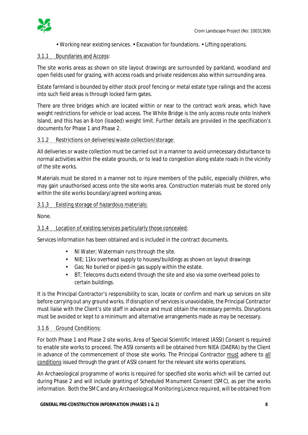

Working near existing services. Excavation for foundations. Lifting operations.

#### 3.1.1 Boundaries and Access:

The site works areas as shown on site layout drawings are surrounded by parkland, woodland and open fields used for grazing, with access roads and private residences also within surrounding area.

Estate farmland is bounded by either stock proof fencing or metal estate type railings and the access into such field areas is through locked farm gates.

There are three bridges which are located within or near to the contract work areas, which have weight restrictions for vehicle or load access. The White Bridge is the only access route onto Inisherk Island, and this has an 8-ton (loaded) weight limit. Further details are provided in the specification's documents for Phase 1 and Phase 2.

### 3.1.2 Restrictions on deliveries/waste collection/storage:

All deliveries or waste collection must be carried out in a manner to avoid unnecessary disturbance to normal activities within the estate grounds, or to lead to congestion along estate roads in the vicinity of the site works.

Materials must be stored in a manner not to injure members of the public, especially children, who may gain unauthorised access onto the site works area. Construction materials must be stored only within the site works boundary/agreed working areas.

#### 3.1.3 Existing storage of hazardous materials:

None.

### 3.1.4 Location of existing services particularly those concealed:

Services information has been obtained and is included in the contract documents.

- NI Water; Watermain runs through the site.
- NIE; 11kv overhead supply to houses/buildings as shown on layout drawings  $\mathbf{r}$
- Gas; No buried or piped-in gas supply within the estate.
- BT; Telecoms ducts extend through the site and also via some overhead poles to certain buildings.

It is the Principal Contractor's responsibility to scan, locate or confirm and mark up services on site before carrying out any ground works. If disruption of services is unavoidable, the Principal Contractor must liaise with the Client's site staff in advance and must obtain the necessary permits. Disruptions must be avoided or kept to a minimum and alternative arrangements made as may be necessary.

### 3.1.6 Ground Conditions:

For both Phase 1 and Phase 2 site works, Area of Special Scientific Interest (ASSI) Consent is required to enable site works to proceed. The ASSI consents will be obtained from NIEA (DAERA) by the Client in advance of the commencement of those site works. The Principal Contractor must adhere to all conditions issued through the grant of ASSI consent for the relevant site works operations.

An Archaeological programme of works is required for specified site works which will be carried out during Phase 2 and will include granting of Scheduled Monument Consent (SMC), as per the works information. Both the SMC and any Archaeological Monitoring Licence required, will be obtained from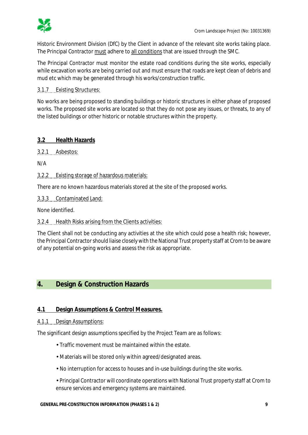

Historic Environment Division (DfC) by the Client in advance of the relevant site works taking place. The Principal Contractor must adhere to all conditions that are issued through the SMC.

The Principal Contractor must monitor the estate road conditions during the site works, especially while excavation works are being carried out and must ensure that roads are kept clean of debris and mud etc which may be generated through his works/construction traffic.

3.1.7 Existing Structures:

No works are being proposed to standing buildings or historic structures in either phase of proposed works. The proposed site works are located so that they do not pose any issues, or threats, to any of the listed buildings or other historic or notable structures within the property.

## **3.2 Health Hazards**

3.2.1 Asbestos:

N/A

3.2.2 Existing storage of hazardous materials:

There are no known hazardous materials stored at the site of the proposed works.

3.3.3 Contaminated Land:

None identified.

3.2.4 Health Risks arising from the Clients activities:

The Client shall not be conducting any activities at the site which could pose a health risk; however, the Principal Contractor should liaise closely with the National Trust property staff at Crom to be aware of any potential on-going works and assess the risk as appropriate.

## **4. Design & Construction Hazards**

### **4.1 Design Assumptions & Control Measures.**

### 4.1.1 Design Assumptions:

The significant design assumptions specified by the Project Team are as follows:

- Traffic movement must be maintained within the estate.
- Materials will be stored only within agreed/designated areas.
- No interruption for access to houses and in-use buildings during the site works.

Principal Contractor will coordinate operations with National Trust property staff at Crom to ensure services and emergency systems are maintained.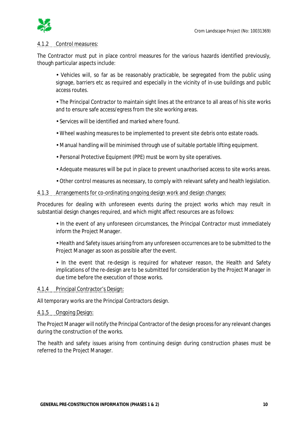

#### 4.1.2 Control measures:

The Contractor must put in place control measures for the various hazards identified previously, though particular aspects include:

Vehicles will, so far as be reasonably practicable, be segregated from the public using signage, barriers etc as required and especially in the vicinity of in-use buildings and public access routes.

The Principal Contractor to maintain sight lines at the entrance to all areas of his site works and to ensure safe access/egress from the site working areas.

- Services will be identified and marked where found.
- Wheel washing measures to be implemented to prevent site debris onto estate roads.
- Manual handling will be minimised through use of suitable portable lifting equipment.
- Personal Protective Equipment (PPE) must be worn by site operatives.
- Adequate measures will be put in place to prevent unauthorised access to site works areas.
- Other control measures as necessary, to comply with relevant safety and health legislation.

#### 4.1.3 Arrangements for co-ordinating ongoing design work and design changes:

Procedures for dealing with unforeseen events during the project works which may result in substantial design changes required, and which might affect resources are as follows:

In the event of any unforeseen circumstances, the Principal Contractor must immediately inform the Project Manager.

Health and Safety issues arising from any unforeseen occurrences are to be submitted to the Project Manager as soon as possible after the event.

In the event that re-design is required for whatever reason, the Health and Safety implications of the re-design are to be submitted for consideration by the Project Manager in due time before the execution of those works.

#### 4.1.4 Principal Contractor's Design:

All temporary works are the Principal Contractors design.

#### 4.1.5 Ongoing Design:

The Project Manager will notify the Principal Contractor of the design process for any relevant changes during the construction of the works.

The health and safety issues arising from continuing design during construction phases must be referred to the Project Manager.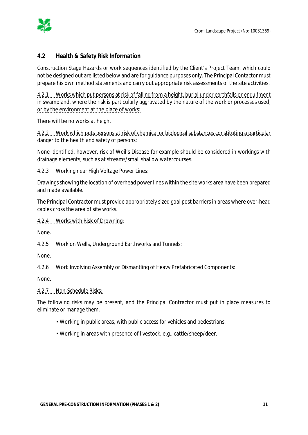

## **4.2 Health & Safety Risk Information**

Construction Stage Hazards or work sequences identified by the Client's Project Team, which could not be designed out are listed below and are for guidance purposes only. The Principal Contactor must prepare his own method statements and carry out appropriate risk assessments of the site activities.

4.2.1 Works which put persons at risk of falling from a height, burial under earthfalls or engulfment in swampland, where the risk is particularly aggravated by the nature of the work or processes used, or by the environment at the place of works:

There will be no works at height.

4.2.2 Work which puts persons at risk of chemical or biological substances constituting a particular danger to the health and safety of persons:

None identified, however, risk of Weil's Disease for example should be considered in workings with drainage elements, such as at streams/small shallow watercourses.

4.2.3 Working near High Voltage Power Lines:

Drawings showing the location of overhead power lines within the site works area have been prepared and made available.

The Principal Contractor must provide appropriately sized goal post barriers in areas where over-head cables cross the area of site works.

4.2.4 Works with Risk of Drowning:

None.

4.2.5 Work on Wells, Underground Earthworks and Tunnels:

None.

4.2.6 Work Involving Assembly or Dismantling of Heavy Prefabricated Components:

None.

4.2.7 Non-Schedule Risks:

The following risks may be present, and the Principal Contractor must put in place measures to eliminate or manage them.

- Working in public areas, with public access for vehicles and pedestrians.
- Working in areas with presence of livestock, e.g., cattle/sheep/deer.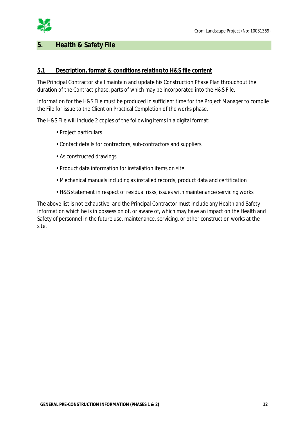

## **5. Health & Safety File**

## **5.1 Description, format & conditions relating to H&S file content**

The Principal Contractor shall maintain and update his Construction Phase Plan throughout the duration of the Contract phase, parts of which may be incorporated into the H&S File.

Information for the H&S File must be produced in sufficient time for the Project Manager to compile the File for issue to the Client on Practical Completion of the works phase.

The H&S File will include 2 copies of the following items in a digital format:

- Project particulars
- Contact details for contractors, sub-contractors and suppliers
- As constructed drawings
- Product data information for installation items on site
- Mechanical manuals including as installed records, product data and certification
- H&S statement in respect of residual risks, issues with maintenance/servicing works

The above list is not exhaustive, and the Principal Contractor must include any Health and Safety information which he is in possession of, or aware of, which may have an impact on the Health and Safety of personnel in the future use, maintenance, servicing, or other construction works at the site.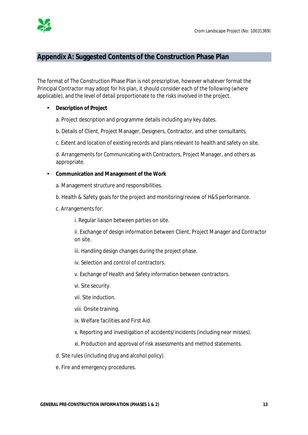

## **Appendix A: Suggested Contents of the Construction Phase Plan**

The format of The Construction Phase Plan is not prescriptive, however whatever format the Principal Contractor may adopt for his plan, it should consider each of the following (where applicable), and the level of detail proportionate to the risks involved in the project.

#### $\mathcal{L}^{\mathcal{L}}$ **Description of Project**

a. Project description and programme details including any key dates.

b. Details of Client, Project Manager, Designers, Contractor, and other consultants.

c. Extent and location of existing records and plans relevant to health and safety on site.

d. Arrangements for Communicating with Contractors, Project Manager, and others as appropriate.

**Communication and Management of the Work** 

- a. Management structure and responsibilities.
- b. Health & Safety goals for the project and monitoring/review of H&S performance.
- c. Arrangements for:

i. Regular liaison between parties on site.

ii. Exchange of design information between Client, Project Manager and Contractor on site.

- iii. Handling design changes during the project phase.
- iv. Selection and control of contractors.
- v. Exchange of Health and Safety information between contractors.
- vi. Site security.
- vii. Site induction.
- viii. Onsite training.
- ix. Welfare facilities and First Aid.
- x. Reporting and investigation of accidents/incidents (including near misses).
- xi. Production and approval of risk assessments and method statements.
- d. Site rules (including drug and alcohol policy).
- e. Fire and emergency procedures.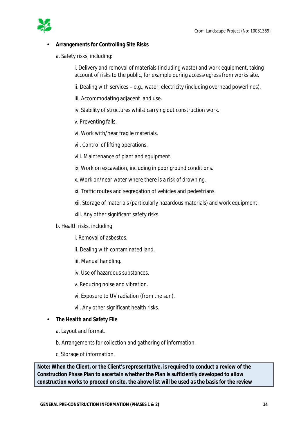

#### **Arrangements for Controlling Site Risks**

a. Safety risks, including:

i. Delivery and removal of materials (including waste) and work equipment, taking account of risks to the public, for example during access/egress from works site.

ii. Dealing with services – e.g., water, electricity (including overhead powerlines).

iii. Accommodating adjacent land use.

iv. Stability of structures whilst carrying out construction work.

- v. Preventing falls.
- vi. Work with/near fragile materials.
- vii. Control of lifting operations.
- viii. Maintenance of plant and equipment.
- ix. Work on excavation, including in poor ground conditions.
- x. Work on/near water where there is a risk of drowning.
- xi. Traffic routes and segregation of vehicles and pedestrians.
- xii. Storage of materials (particularly hazardous materials) and work equipment.
- xiii. Any other significant safety risks.
- b. Health risks, including
	- i. Removal of asbestos.
	- ii. Dealing with contaminated land.
	- iii. Manual handling.
	- iv. Use of hazardous substances.
	- v. Reducing noise and vibration.
	- vi. Exposure to UV radiation (from the sun).
	- vii. Any other significant health risks.

#### **The Health and Safety File**   $\mathbf{r}$

- a. Layout and format.
- b. Arrangements for collection and gathering of information.
- c. Storage of information.

*Note: When the Client, or the Client's representative, is required to conduct a review of the Construction Phase Plan to ascertain whether the Plan is sufficiently developed to allow construction works to proceed on site, the above list will be used as the basis for the review*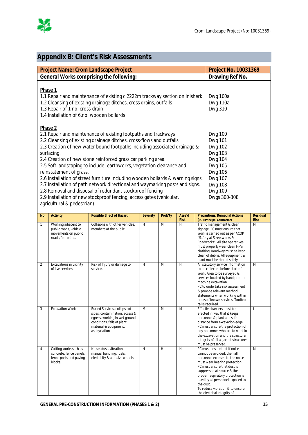

# **Appendix B: Client's Risk Assessments**

| <b>Project Name: Crom Landscape Project</b><br><b>Project No. 10031369</b> |                                                                                                                                                                                                                                                                                                                                                                                                                                                                                                                                                                                                                                                                                                                                                       |                                                                                                                                                                                                  |                 |         |                       |           |                                                                                                                                                                                                                                                                                                                                       |                                |
|----------------------------------------------------------------------------|-------------------------------------------------------------------------------------------------------------------------------------------------------------------------------------------------------------------------------------------------------------------------------------------------------------------------------------------------------------------------------------------------------------------------------------------------------------------------------------------------------------------------------------------------------------------------------------------------------------------------------------------------------------------------------------------------------------------------------------------------------|--------------------------------------------------------------------------------------------------------------------------------------------------------------------------------------------------|-----------------|---------|-----------------------|-----------|---------------------------------------------------------------------------------------------------------------------------------------------------------------------------------------------------------------------------------------------------------------------------------------------------------------------------------------|--------------------------------|
|                                                                            | General Works comprising the following:                                                                                                                                                                                                                                                                                                                                                                                                                                                                                                                                                                                                                                                                                                               | Drawing Ref No.                                                                                                                                                                                  |                 |         |                       |           |                                                                                                                                                                                                                                                                                                                                       |                                |
|                                                                            |                                                                                                                                                                                                                                                                                                                                                                                                                                                                                                                                                                                                                                                                                                                                                       |                                                                                                                                                                                                  |                 |         |                       |           |                                                                                                                                                                                                                                                                                                                                       |                                |
|                                                                            | Phase 1<br>1.1 Repair and maintenance of existing c.2222m trackway section on Inisherk<br>1.2 Cleansing of existing drainage ditches, cross drains, outfalls<br>1.3 Repair of 1 no. cross-drain<br>1.4 Installation of 6.no. wooden bollards                                                                                                                                                                                                                                                                                                                                                                                                                                                                                                          | Dwg 100a<br>Dwg 110a<br><b>Dwg 310</b>                                                                                                                                                           |                 |         |                       |           |                                                                                                                                                                                                                                                                                                                                       |                                |
|                                                                            | Phase 2<br>2.1 Repair and maintenance of existing footpaths and trackways<br>2.2 Cleansing of existing drainage ditches, cross-flows and outfalls<br>2.3 Creation of new water bound footpaths including associated drainage &<br>surfacing.<br>2.4 Creation of new stone reinforced grass car parking area.<br>2.5 Soft landscaping to include: earthworks, vegetation clearance and<br>reinstatement of grass.<br>2.6 Installation of street furniture including wooden bollards & warning signs.<br>2.7 Installation of path network directional and waymarking posts and signs.<br>2.8 Removal and disposal of redundant stockproof fencing<br>2.9 Installation of new stockproof fencing, access gates (vehicular,<br>agricultural & pedestrian) | <b>Dwg 100</b><br><b>Dwg 101</b><br><b>Dwg 102</b><br><b>Dwg 103</b><br><b>Dwg 104</b><br><b>Dwg 105</b><br><b>Dwg 106</b><br><b>Dwg 107</b><br><b>Dwg 108</b><br><b>Dwg 109</b><br>Dwgs 300-308 |                 |         |                       |           |                                                                                                                                                                                                                                                                                                                                       |                                |
| No.                                                                        | <b>Activity</b>                                                                                                                                                                                                                                                                                                                                                                                                                                                                                                                                                                                                                                                                                                                                       | <b>Possible Effect of Hazard</b>                                                                                                                                                                 | <b>Severity</b> | Prob'ty | Asse'd<br><b>Risk</b> |           | <b>Precautions/Remedial Actions</b><br>(PC = Principal Contractor)                                                                                                                                                                                                                                                                    | <b>Residual</b><br><b>Risk</b> |
| 1                                                                          | Working adjacent to<br>public roads, vehicle<br>movements on public<br>roads/footpaths.                                                                                                                                                                                                                                                                                                                                                                                                                                                                                                                                                                                                                                                               | Collisions with other vehicles,<br>members of the public                                                                                                                                         | H               | M       | H                     |           | Traffic management & clear<br>signage. PC must ensure that<br>work is carried out as per ACOP<br>"Safety at Streetworks &<br>Roadworks". All site operatives<br>must properly wear clean Hi-Vi<br>clothing. Roadway must be kept<br>clean of debris. All equipment &<br>plant must be stored safely.                                  | M                              |
| $\overline{2}$                                                             | Excavations in vicinity<br>of live services                                                                                                                                                                                                                                                                                                                                                                                                                                                                                                                                                                                                                                                                                                           | Risk of Injury or damage to<br>services                                                                                                                                                          | H               | M       | H                     |           | All statutory service information<br>M<br>to be collected before start of<br>work. Area to be surveyed &<br>services located by hand prior to<br>machine excavation.<br>PC to undertake risk assessment<br>& provide relevant method<br>statements when working within<br>areas of known services. Toolbox<br>talks required.         |                                |
| 3                                                                          | <b>Excavation Work</b>                                                                                                                                                                                                                                                                                                                                                                                                                                                                                                                                                                                                                                                                                                                                | Buried Services, collapse of<br>sides, contamination, access &<br>egress, working in wet ground<br>conditions, falls of plant<br>material & equipment,<br>asphyxiation                           | M               | M       | M                     |           | Effective barriers must be<br>erected in way that it keeps<br>personnel & plant at a safe<br>distance from excavation edge.<br>PC must ensure the protection of<br>any personnel who are to work in<br>the excavation and the structural<br>integrity of all adjacent structures<br>must be preserved.                                | L                              |
| 4                                                                          | Cutting works such as<br>concrete, fence panels,<br>fence posts and paving<br>blocks.                                                                                                                                                                                                                                                                                                                                                                                                                                                                                                                                                                                                                                                                 | Noise, dust, vibration,<br>manual handling, fuels,<br>electricity & abrasive wheels                                                                                                              | H               | H       | H                     | the dust. | PC must ensure that If noise<br>cannot be avoided, then all<br>personnel exposed to the noise<br>must wear hearing protection.<br>PC must ensure that dust is<br>suppressed at source & the<br>proper respiratory protection is<br>used by all personnel exposed to<br>To reduce vibration & to ensure<br>the electrical integrity of | M                              |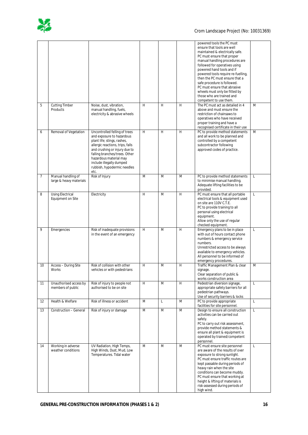

|    |                                               |                                                                                                                                                                                                                                                                                              |   |   |   | powered tools the PC must<br>ensure that tools are well<br>maintained & electrically safe.<br>PC must ensure that proper<br>manual handling procedures are<br>followed for operatives using<br>powered hand tools and if<br>powered tools require re-fuelling,<br>then the PC must ensure that a<br>safe procedure is followed.<br>PC must ensure that abrasive<br>wheels must only be fitted by<br>those who are trained and<br>competent to use them. |              |
|----|-----------------------------------------------|----------------------------------------------------------------------------------------------------------------------------------------------------------------------------------------------------------------------------------------------------------------------------------------------|---|---|---|---------------------------------------------------------------------------------------------------------------------------------------------------------------------------------------------------------------------------------------------------------------------------------------------------------------------------------------------------------------------------------------------------------------------------------------------------------|--------------|
| 5  | <b>Cutting Timber</b><br>Products             | Noise, dust, vibration,<br>manual handling, fuels,<br>electricity & abrasive wheels                                                                                                                                                                                                          | H | H | H | The PC must act as detailed in 4<br>above and must ensure the<br>restriction of chainsaws to<br>operatives who have received<br>proper training and have a<br>recognised certificate in their use                                                                                                                                                                                                                                                       | M            |
| 6  | Removal of Vegetation                         | Uncontrolled felling of trees<br>and exposure to hazardous<br>plant life; stings, rashes,<br>allergic reactions, trips, falls<br>and crushing or injury due to<br>falling branches/trees. Other<br>hazardous material may<br>include illegally dumped<br>rubbish, hypodermic needles<br>etc. | H | H | H | PC to provide method statements<br>and all work to be planned and<br>controlled by a competent<br>subcontractor following<br>approved codes of practice.                                                                                                                                                                                                                                                                                                | M            |
| 7  | Manual handling of<br>large & heavy materials | Risk of Injury                                                                                                                                                                                                                                                                               | M | M | M | PC to provide method statements<br>to minimise manual handling.<br>Adequate lifting facilities to be<br>provided.                                                                                                                                                                                                                                                                                                                                       | L            |
| 8  | <b>Using Electrical</b><br>Equipment on Site  | Electricity                                                                                                                                                                                                                                                                                  | H | M | H | PC must ensure that all portable<br>electrical tools & equipment used<br>on site are 110V C.T.E.<br>PC to provide training to all<br>personal using electrical<br>equipment.<br>Allow only the use of regular<br>checked equipment.                                                                                                                                                                                                                     | $\mathsf{L}$ |
| 9  | Emergencies                                   | Risk of inadequate provisions<br>in the event of an emergency                                                                                                                                                                                                                                | H | M | H | Emergency plans to be in place<br>with out of hours contact phone<br>numbers & emergency service<br>numbers.<br>Unrestricted access to be always<br>available to emergency vehicles.<br>All personnel to be informed of<br>emergency procedures.                                                                                                                                                                                                        | L            |
| 10 | Access - During Site<br>Works                 | Risk of collision with other<br>vehicles or with pedestrians                                                                                                                                                                                                                                 | H | M | H | Traffic Management Plan & clear<br>signage.<br>Clear separation of public &<br>works construction area                                                                                                                                                                                                                                                                                                                                                  | M            |
| 11 | Unauthorised access by<br>members of public   | Risk of injury to people not<br>authorised to be on site                                                                                                                                                                                                                                     | H | M | H | Pedestrian diversion signage,<br>appropriate safety barriers for all<br>pedestrian pathways.<br>Use of security barriers & locks                                                                                                                                                                                                                                                                                                                        | $\mathbf{L}$ |
| 12 | Health & Welfare                              | Risk of illness or accident                                                                                                                                                                                                                                                                  | M | L | M | PC to provide appropriate<br>facilities for site personnel.                                                                                                                                                                                                                                                                                                                                                                                             | $\mathsf{L}$ |
| 13 | Construction - General                        | Risk of injury or damage                                                                                                                                                                                                                                                                     | M | M | M | Design to ensure all construction<br>activities can be carried out<br>safely.<br>PC to carry out risk assessment,<br>provide method statements &<br>ensure all plant & equipment is<br>operated by trained/competent<br>personnel.                                                                                                                                                                                                                      | L            |
| 14 | Working in adverse<br>weather conditions      | UV Radiation, High Temps,<br>High Winds, Dust, Mud, Low<br>Temperatures. Tidal water                                                                                                                                                                                                         | M | M | M | PC must ensure site personnel<br>are aware of the results of over<br>exposure to strong sunlight.<br>PC must ensure traffic routes are<br>kept passable during periods of<br>heavy rain when the site<br>conditions can become muddy.<br>PC must ensure that working at<br>height & lifting of materials is<br>risk-assessed during periods of<br>high wind.                                                                                            | L            |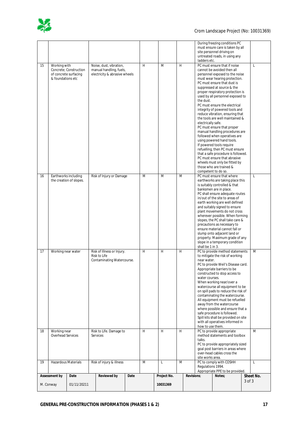

|                          |                                                 |  |                                                          |      |   |             |   |            |                                                                   | During freezing conditions PC<br>must ensure care is taken by all      |        |           |
|--------------------------|-------------------------------------------------|--|----------------------------------------------------------|------|---|-------------|---|------------|-------------------------------------------------------------------|------------------------------------------------------------------------|--------|-----------|
|                          |                                                 |  |                                                          |      |   |             |   |            | ladders etc.                                                      | site personnel driving on<br>untreated roads, in using any             |        |           |
| 15                       | Working with                                    |  | Noise, dust, vibration,                                  |      | H | M           | H |            |                                                                   | PC must ensure that if noise                                           |        | L         |
|                          | Concrete; Construction<br>of concrete surfacing |  | manual handling, fuels,<br>electricity & abrasive wheels |      |   |             |   |            |                                                                   | cannot be avoided then all<br>personnel exposed to the noise           |        |           |
|                          | & foundations etc.                              |  |                                                          |      |   |             |   |            |                                                                   | must wear hearing protection.                                          |        |           |
|                          |                                                 |  |                                                          |      |   |             |   |            |                                                                   | PC must ensure that dust is<br>suppressed at source & the              |        |           |
|                          |                                                 |  |                                                          |      |   |             |   |            |                                                                   | proper respiratory protection is                                       |        |           |
|                          |                                                 |  |                                                          |      |   |             |   |            | the dust.                                                         | used by all personnel exposed to                                       |        |           |
|                          |                                                 |  |                                                          |      |   |             |   |            |                                                                   | PC must ensure the electrical<br>integrity of powered tools and        |        |           |
|                          |                                                 |  |                                                          |      |   |             |   |            |                                                                   | reduce vibration, ensuring that                                        |        |           |
|                          |                                                 |  |                                                          |      |   |             |   |            | electrically safe.                                                | the tools are well maintained &                                        |        |           |
|                          |                                                 |  |                                                          |      |   |             |   |            |                                                                   | PC must ensure that proper                                             |        |           |
|                          |                                                 |  |                                                          |      |   |             |   |            |                                                                   | manual handling procedures are<br>followed when operatives are         |        |           |
|                          |                                                 |  |                                                          |      |   |             |   |            |                                                                   | using powered hand tools.                                              |        |           |
|                          |                                                 |  |                                                          |      |   |             |   |            |                                                                   | If powered tools require<br>refuelling, then PC must ensure            |        |           |
|                          |                                                 |  |                                                          |      |   |             |   |            |                                                                   | that a safe procedure is followed.                                     |        |           |
|                          |                                                 |  |                                                          |      |   |             |   |            |                                                                   | PC must ensure that abrasive<br>wheels must only be fitted by          |        |           |
|                          |                                                 |  |                                                          |      |   |             |   |            |                                                                   | those who are trained &<br>competent to do so.                         |        |           |
| 16                       | Earthworks including                            |  | Risk of Injury or Damage                                 |      | M | M           | M |            |                                                                   | PC must ensure that where                                              |        | L         |
|                          | the creation of slopes.                         |  |                                                          |      |   |             |   |            |                                                                   | earthworks are taking place this<br>is suitably controlled & that      |        |           |
|                          |                                                 |  |                                                          |      |   |             |   |            |                                                                   | banksmen are in place.                                                 |        |           |
|                          |                                                 |  |                                                          |      |   |             |   |            |                                                                   | PC shall ensure adequate routes<br>in/out of the site to areas of      |        |           |
|                          |                                                 |  |                                                          |      |   |             |   |            |                                                                   | earth working are well defined                                         |        |           |
|                          |                                                 |  |                                                          |      |   |             |   |            |                                                                   | and suitably signed to ensure<br>plant movements do not cross          |        |           |
|                          |                                                 |  |                                                          |      |   |             |   |            |                                                                   | wherever possible. When forming<br>slopes, the PC shall take care &    |        |           |
|                          |                                                 |  |                                                          |      |   |             |   |            |                                                                   | precautions as necessary to                                            |        |           |
|                          |                                                 |  |                                                          |      |   |             |   |            |                                                                   | ensure material cannot fall or<br>slump onto adjacent land or          |        |           |
|                          |                                                 |  |                                                          |      |   |             |   |            |                                                                   | property. Maximum grade of any                                         |        |           |
|                          |                                                 |  |                                                          |      |   |             |   |            | shall be 1 in 3.                                                  | slope in a temporary condition                                         |        |           |
| 17                       | Working near water                              |  | Risk of Illness or Injury.<br>Risk to Life               |      | H | H           | H |            |                                                                   | PC to provide method statements<br>to mitigate the risk of working     |        | M         |
|                          |                                                 |  | Contaminating Watercourse.                               |      |   |             |   |            | near water.                                                       |                                                                        |        |           |
|                          |                                                 |  |                                                          |      |   |             |   |            |                                                                   | PC to provide Weil's Disease card.<br>Appropriate barriers to be       |        |           |
|                          |                                                 |  |                                                          |      |   |             |   |            | water courses.                                                    | constructed to stop access to                                          |        |           |
|                          |                                                 |  |                                                          |      |   |             |   |            |                                                                   | When working near/over a                                               |        |           |
|                          |                                                 |  |                                                          |      |   |             |   |            |                                                                   | watercourse all equipment to be<br>on spill pads to reduce the risk of |        |           |
|                          |                                                 |  |                                                          |      |   |             |   |            | contaminating the watercourse.<br>All equipment must be refuelled |                                                                        |        |           |
|                          |                                                 |  |                                                          |      |   |             |   |            |                                                                   | away from the watercourse                                              |        |           |
|                          |                                                 |  |                                                          |      |   |             |   |            |                                                                   | where possible and ensure that a<br>safe procedure is followed.        |        |           |
|                          |                                                 |  |                                                          |      |   |             |   |            |                                                                   | Spill kits shall be provided on site                                   |        |           |
|                          |                                                 |  |                                                          |      |   |             |   |            | how to use them.                                                  | with all operatives informed in                                        |        |           |
| 18                       | Working near                                    |  | Risk to Life. Damage to                                  |      | H | H           | H |            |                                                                   | PC to provide appropriate<br>method statements and toolbox             |        | M         |
|                          | Overhead Services                               |  | Services                                                 |      |   |             |   |            | talks.                                                            |                                                                        |        |           |
|                          |                                                 |  |                                                          |      |   |             |   |            |                                                                   | PC to provide appropriately sized<br>goal post barriers in areas where |        |           |
|                          |                                                 |  |                                                          |      |   |             |   |            | over-head cables cross the                                        |                                                                        |        |           |
| 19                       | <b>Hazardous Materials</b>                      |  | Risk of injury & illness                                 |      | M | L           |   | M          |                                                                   | site works area.<br>PC to comply with COSHH                            |        | L         |
|                          |                                                 |  |                                                          |      |   |             |   |            | Regulations 1994.                                                 | Appropriate PPE to be provided.                                        |        |           |
| Assessment by<br>Date    |                                                 |  | <b>Reviewed by</b>                                       | Date |   | Project No. |   | Revisions: |                                                                   | Notes;                                                                 |        | Sheet No. |
| M. Conway<br>01/11/20211 |                                                 |  |                                                          |      |   | 10031369    |   |            |                                                                   |                                                                        | 3 of 3 |           |
|                          |                                                 |  |                                                          |      |   |             |   |            |                                                                   |                                                                        |        |           |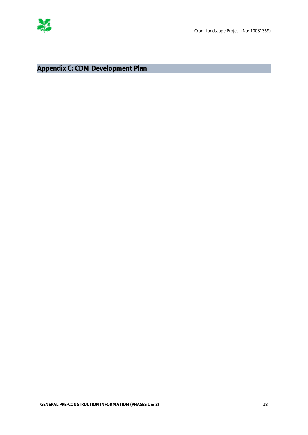

**Appendix C: CDM Development Plan**